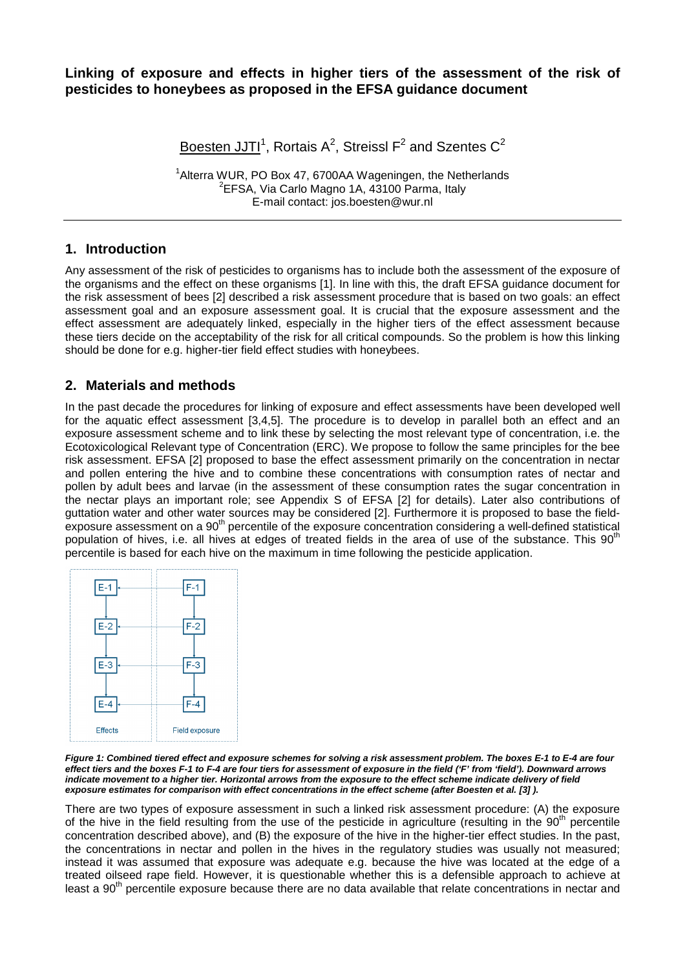### **Linking of exposure and effects in higher tiers of the assessment of the risk of pesticides to honeybees as proposed in the EFSA guidance document**

Boesten JJTI<sup>1</sup>, Rortais A<sup>2</sup>, Streissl F<sup>2</sup> and Szentes C<sup>2</sup>

<sup>1</sup> Alterra WUR, PO Box 47, 6700AA Wageningen, the Netherlands <sup>2</sup>EFSA, Via Carlo Magno 1A, 43100 Parma, Italy E-mail contact: jos.boesten@wur.nl

### **1. Introduction**

Any assessment of the risk of pesticides to organisms has to include both the assessment of the exposure of the organisms and the effect on these organisms [1]. In line with this, the draft EFSA guidance document for the risk assessment of bees [2] described a risk assessment procedure that is based on two goals: an effect assessment goal and an exposure assessment goal. It is crucial that the exposure assessment and the effect assessment are adequately linked, especially in the higher tiers of the effect assessment because these tiers decide on the acceptability of the risk for all critical compounds. So the problem is how this linking should be done for e.g. higher-tier field effect studies with honeybees.

### **2. Materials and methods**

In the past decade the procedures for linking of exposure and effect assessments have been developed well for the aquatic effect assessment [3,4,5]. The procedure is to develop in parallel both an effect and an exposure assessment scheme and to link these by selecting the most relevant type of concentration, i.e. the Ecotoxicological Relevant type of Concentration (ERC). We propose to follow the same principles for the bee risk assessment. EFSA [2] proposed to base the effect assessment primarily on the concentration in nectar and pollen entering the hive and to combine these concentrations with consumption rates of nectar and pollen by adult bees and larvae (in the assessment of these consumption rates the sugar concentration in the nectar plays an important role; see Appendix S of EFSA [2] for details). Later also contributions of guttation water and other water sources may be considered [2]. Furthermore it is proposed to base the field- $\epsilon$  exposure assessment on a 90<sup>th</sup> percentile of the exposure concentration considering a well-defined statistical population of hives, i.e. all hives at edges of treated fields in the area of use of the substance. This 90<sup>th</sup> percentile is based for each hive on the maximum in time following the pesticide application.



**Figure 1: Combined tiered effect and exposure schemes for solving a risk assessment problem. The boxes E-1 to E-4 are four effect tiers and the boxes F-1 to F-4 are four tiers for assessment of exposure in the field ('F' from 'field'). Downward arrows indicate movement to a higher tier. Horizontal arrows from the exposure to the effect scheme indicate delivery of field exposure estimates for comparison with effect concentrations in the effect scheme (after Boesten et al. [3] ).** 

There are two types of exposure assessment in such a linked risk assessment procedure: (A) the exposure of the hive in the field resulting from the use of the pesticide in agriculture (resulting in the  $90<sup>th</sup>$  percentile concentration described above), and (B) the exposure of the hive in the higher-tier effect studies. In the past, the concentrations in nectar and pollen in the hives in the regulatory studies was usually not measured; instead it was assumed that exposure was adequate e.g. because the hive was located at the edge of a treated oilseed rape field. However, it is questionable whether this is a defensible approach to achieve at least a 90<sup>th</sup> percentile exposure because there are no data available that relate concentrations in nectar and